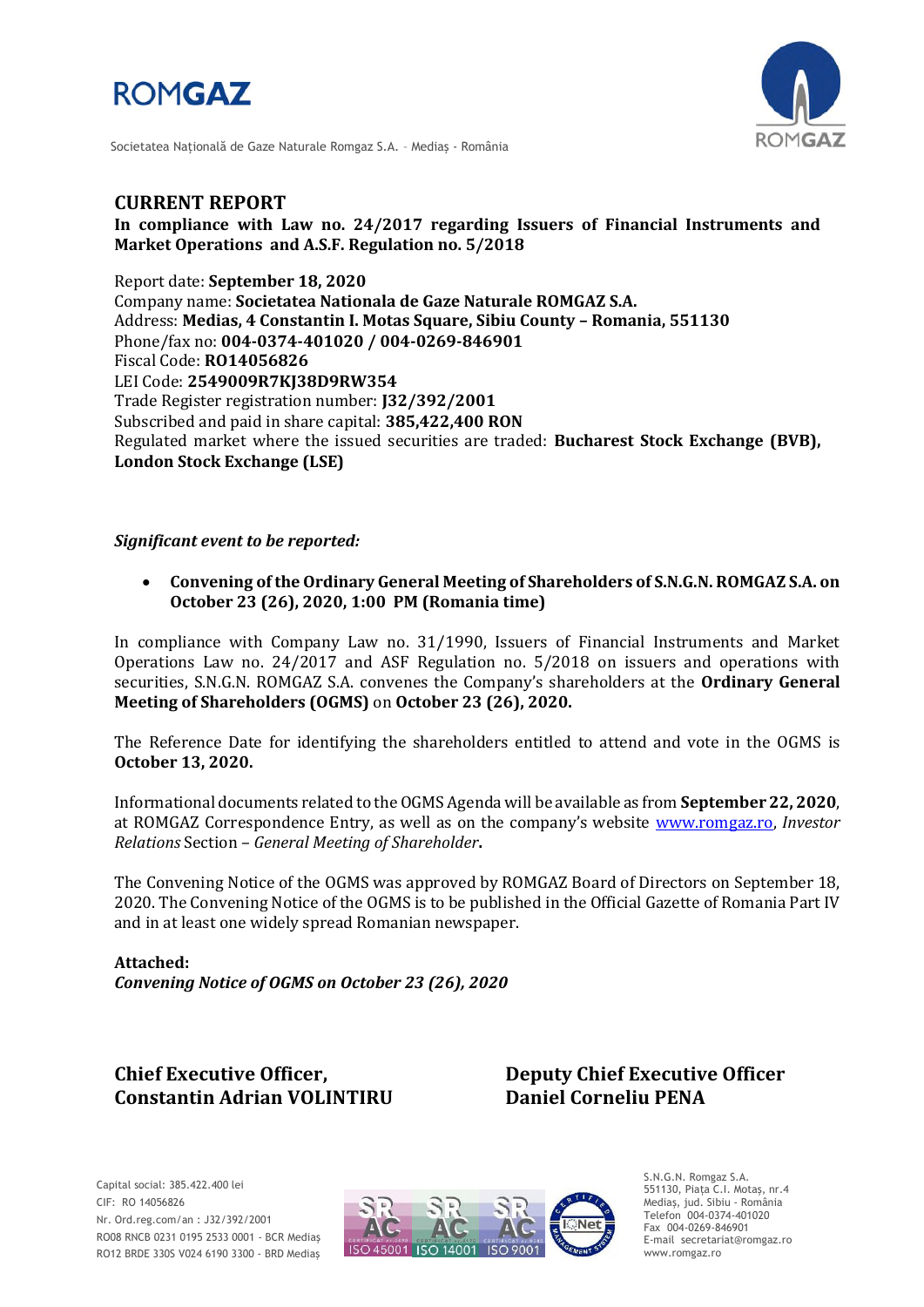



Societatea Naţională de Gaze Naturale Romgaz S.A. – Mediaş - România

# **CURRENT REPORT**

**In compliance with Law no. 24/2017 regarding Issuers of Financial Instruments and Market Operations and A.S.F. Regulation no. 5/2018**

Report date: **September 18, 2020** Company name: **Societatea Nationala de Gaze Naturale ROMGAZ S.A.** Address: **Medias, 4 Constantin I. Motas Square, Sibiu County – Romania, 551130** Phone/fax no: **004-0374-401020 / 004-0269-846901** Fiscal Code: **RO14056826** LEI Code: **2549009R7KJ38D9RW354** Trade Register registration number: **J32/392/2001** Subscribed and paid in share capital: **385,422,400 RON** Regulated market where the issued securities are traded: **Bucharest Stock Exchange (BVB), London Stock Exchange (LSE)**

### *Significant event to be reported:*

 **Convening of the Ordinary General Meeting of Shareholders of S.N.G.N. ROMGAZ S.A. on October 23 (26), 2020, 1:00 PM (Romania time)**

In compliance with Company Law no. 31/1990, Issuers of Financial Instruments and Market Operations Law no. 24/2017 and ASF Regulation no. 5/2018 on issuers and operations with securities, S.N.G.N. ROMGAZ S.A. convenes the Company's shareholders at the **Ordinary General Meeting of Shareholders (OGMS)** on **October 23 (26), 2020.**

The Reference Date for identifying the shareholders entitled to attend and vote in the OGMS is **October 13, 2020.**

Informational documents related to the OGMS Agenda will be available as from **September 22, 2020**, at ROMGAZ Correspondence Entry, as well as on the company's website [www.romgaz.ro,](http://www.romgaz.ro/) *Investor Relations* Section – *General Meeting of Shareholder***.**

The Convening Notice of the OGMS was approved by ROMGAZ Board of Directors on September 18, 2020. The Convening Notice of the OGMS is to be published in the Official Gazette of Romania Part IV and in at least one widely spread Romanian newspaper.

**Attached:** *Convening Notice of OGMS on October 23 (26), 2020*

# **Constantin Adrian VOLINTIRU Daniel Corneliu PENA**

**Chief Executive Officer, Deputy Chief Executive Officer**



S.N.G.N. Romgaz S.A. 551130, Piața C.I. Motaş, nr.4 Mediaş, jud. Sibiu - România Telefon 004-0374-401020 Fax 004-0269-846901 E-mail secretariat@romgaz.ro www.romgaz.ro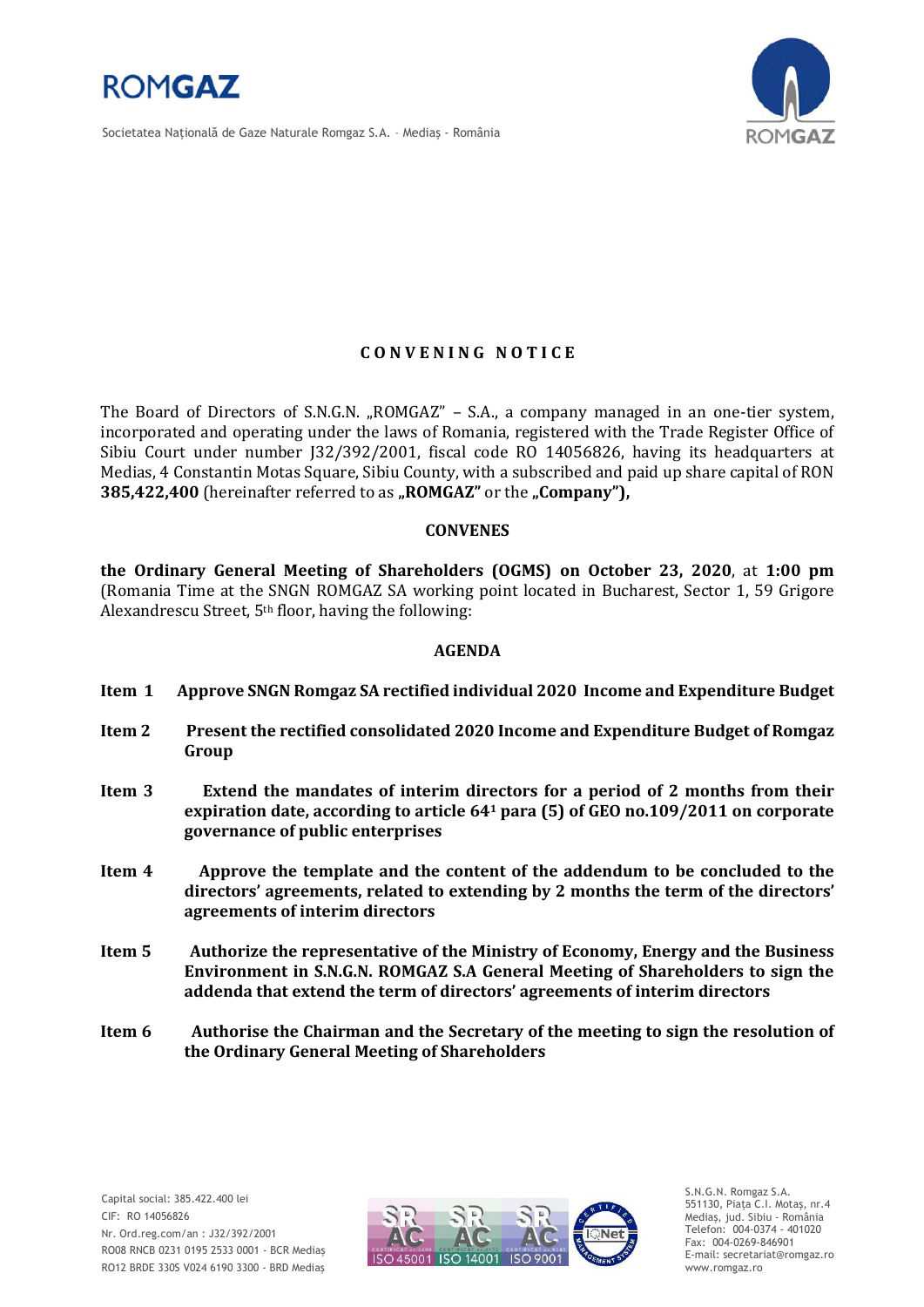

Societatea Naţională de Gaze Naturale Romgaz S.A. – Mediaş - România



## **C O N V E N I N G N O T I C E**

The Board of Directors of S.N.G.N. "ROMGAZ" – S.A., a company managed in an one-tier system, incorporated and operating under the laws of Romania, registered with the Trade Register Office of Sibiu Court under number J32/392/2001, fiscal code RO 14056826, having its headquarters at Medias, 4 Constantin Motas Square, Sibiu County, with a subscribed and paid up share capital of RON **385,422,400** (hereinafter referred to as "ROMGAZ" or the "Company"),

### **CONVENES**

**the Ordinary General Meeting of Shareholders (OGMS) on October 23, 2020**, at **1:00 pm**  (Romania Time at the SNGN ROMGAZ SA working point located in Bucharest, Sector 1, 59 Grigore Alexandrescu Street, 5th floor, having the following:

### **AGENDA**

- **Item 1 Approve SNGN Romgaz SA rectified individual 2020 Income and Expenditure Budget**
- **Item 2 Present the rectified consolidated 2020 Income and Expenditure Budget of Romgaz Group**
- **Item 3 Extend the mandates of interim directors for a period of 2 months from their expiration date, according to article 64<sup>1</sup> para (5) of GEO no.109/2011 on corporate governance of public enterprises**
- **Item 4 Approve the template and the content of the addendum to be concluded to the directors' agreements, related to extending by 2 months the term of the directors' agreements of interim directors**
- **Item 5 Authorize the representative of the Ministry of Economy, Energy and the Business Environment in S.N.G.N. ROMGAZ S.A General Meeting of Shareholders to sign the addenda that extend the term of directors' agreements of interim directors**
- **Item 6 Authorise the Chairman and the Secretary of the meeting to sign the resolution of the Ordinary General Meeting of Shareholders**



S.N.G.N. Romgaz S.A. 551130, Piața C.I. Motaş, nr.4 Mediaş, jud. Sibiu - România Telefon: 004-0374 - 401020 Fax: 004-0269-846901 E-mail: secretariat@romgaz.ro www.romgaz.ro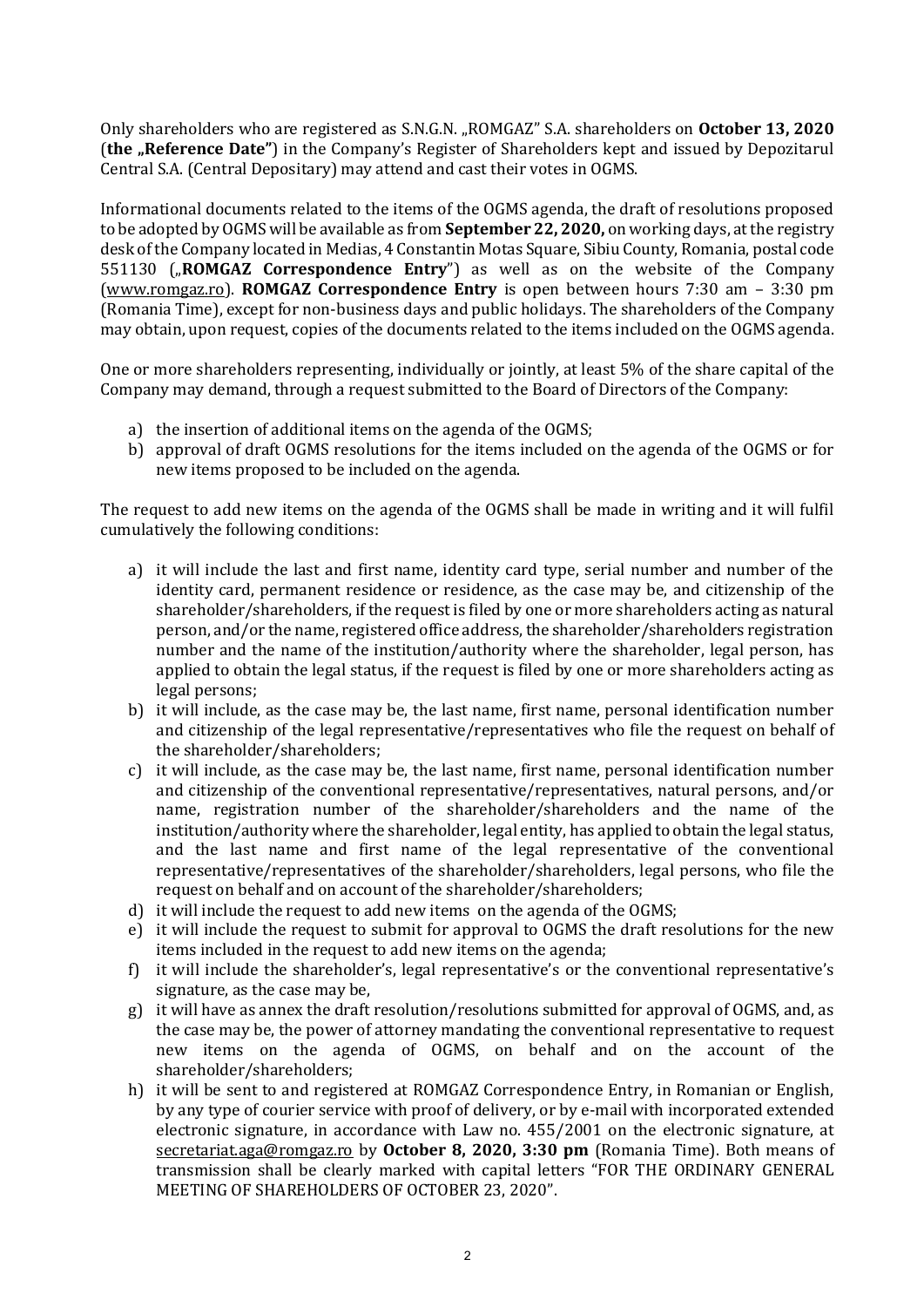Only shareholders who are registered as S.N.G.N. "ROMGAZ" S.A. shareholders on **October 13, 2020** (the "Reference Date") in the Company's Register of Shareholders kept and issued by Depozitarul Central S.A. (Central Depositary) may attend and cast their votes in OGMS.

Informational documents related to the items of the OGMS agenda, the draft of resolutions proposed to be adopted by OGMS will be available as from **September 22, 2020,** on working days, at the registry desk of the Company located in Medias, 4 Constantin Motas Square, Sibiu County, Romania, postal code 551130 ("**ROMGAZ Correspondence Entry**") as well as on the website of the Company [\(www.romgaz.ro\)](http://www.romgaz.ro/). **ROMGAZ Correspondence Entry** is open between hours 7:30 am – 3:30 pm (Romania Time), except for non-business days and public holidays. The shareholders of the Company may obtain, upon request, copies of the documents related to the items included on the OGMS agenda.

One or more shareholders representing, individually or jointly, at least 5% of the share capital of the Company may demand, through a request submitted to the Board of Directors of the Company:

- a) the insertion of additional items on the agenda of the OGMS;
- b) approval of draft OGMS resolutions for the items included on the agenda of the OGMS or for new items proposed to be included on the agenda.

The request to add new items on the agenda of the OGMS shall be made in writing and it will fulfil cumulatively the following conditions:

- a) it will include the last and first name, identity card type, serial number and number of the identity card, permanent residence or residence, as the case may be, and citizenship of the shareholder/shareholders, if the request is filed by one or more shareholders acting as natural person, and/or the name, registered office address, the shareholder/shareholders registration number and the name of the institution/authority where the shareholder, legal person, has applied to obtain the legal status, if the request is filed by one or more shareholders acting as legal persons;
- b) it will include, as the case may be, the last name, first name, personal identification number and citizenship of the legal representative/representatives who file the request on behalf of the shareholder/shareholders;
- c) it will include, as the case may be, the last name, first name, personal identification number and citizenship of the conventional representative/representatives, natural persons, and/or name, registration number of the shareholder/shareholders and the name of the institution/authority where the shareholder, legal entity, has applied to obtain the legal status, and the last name and first name of the legal representative of the conventional representative/representatives of the shareholder/shareholders, legal persons, who file the request on behalf and on account of the shareholder/shareholders;
- d) it will include the request to add new items on the agenda of the OGMS;
- e) it will include the request to submit for approval to OGMS the draft resolutions for the new items included in the request to add new items on the agenda;
- f) it will include the shareholder's, legal representative's or the conventional representative's signature, as the case may be,
- g) it will have as annex the draft resolution/resolutions submitted for approval of OGMS, and, as the case may be, the power of attorney mandating the conventional representative to request new items on the agenda of OGMS, on behalf and on the account of the shareholder/shareholders;
- h) it will be sent to and registered at ROMGAZ Correspondence Entry, in Romanian or English, by any type of courier service with proof of delivery, or by e-mail with incorporated extended electronic signature, in accordance with Law no. 455/2001 on the electronic signature, at [secretariat.aga@romgaz.ro](mailto:secretariat.aga%40romgaz.ro) by **October 8, 2020, 3:30 pm** (Romania Time). Both means of transmission shall be clearly marked with capital letters "FOR THE ORDINARY GENERAL MEETING OF SHAREHOLDERS OF OCTOBER 23, 2020".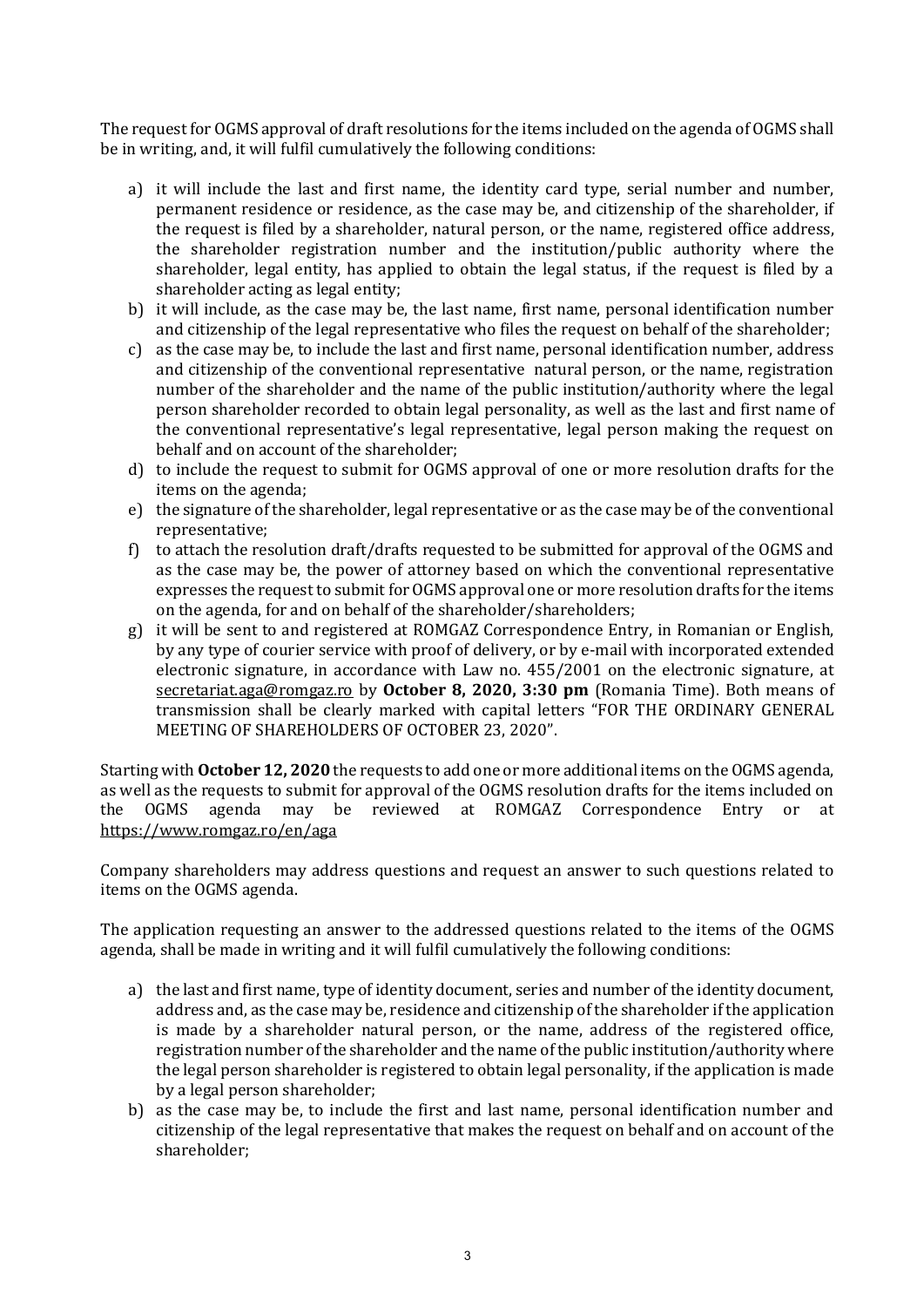The request for OGMS approval of draft resolutions for the items included on the agenda of OGMS shall be in writing, and, it will fulfil cumulatively the following conditions:

- a) it will include the last and first name, the identity card type, serial number and number, permanent residence or residence, as the case may be, and citizenship of the shareholder, if the request is filed by a shareholder, natural person, or the name, registered office address, the shareholder registration number and the institution/public authority where the shareholder, legal entity, has applied to obtain the legal status, if the request is filed by a shareholder acting as legal entity;
- b) it will include, as the case may be, the last name, first name, personal identification number and citizenship of the legal representative who files the request on behalf of the shareholder;
- c) as the case may be, to include the last and first name, personal identification number, address and citizenship of the conventional representative natural person, or the name, registration number of the shareholder and the name of the public institution/authority where the legal person shareholder recorded to obtain legal personality, as well as the last and first name of the conventional representative's legal representative, legal person making the request on behalf and on account of the shareholder;
- d) to include the request to submit for OGMS approval of one or more resolution drafts for the items on the agenda;
- e) the signature of the shareholder, legal representative or as the case may be of the conventional representative;
- f) to attach the resolution draft/drafts requested to be submitted for approval of the OGMS and as the case may be, the power of attorney based on which the conventional representative expresses the request to submit for OGMS approval one or more resolution drafts for the items on the agenda, for and on behalf of the shareholder/shareholders;
- g) it will be sent to and registered at ROMGAZ Correspondence Entry, in Romanian or English, by any type of courier service with proof of delivery, or by e-mail with incorporated extended electronic signature, in accordance with Law no. 455/2001 on the electronic signature, at [secretariat.aga@romgaz.ro](mailto:secretariat.aga%40romgaz.ro) by **October 8, 2020, 3:30 pm** (Romania Time). Both means of transmission shall be clearly marked with capital letters "FOR THE ORDINARY GENERAL MEETING OF SHAREHOLDERS OF OCTOBER 23, 2020".

Starting with **October 12, 2020** the requests to add one or more additional items on the OGMS agenda, as well as the requests to submit for approval of the OGMS resolution drafts for the items included on the OGMS agenda may be reviewed at ROMGAZ Correspondence Entry or at <https://www.romgaz.ro/en/aga>

Company shareholders may address questions and request an answer to such questions related to items on the OGMS agenda.

The application requesting an answer to the addressed questions related to the items of the OGMS agenda, shall be made in writing and it will fulfil cumulatively the following conditions:

- a) the last and first name, type of identity document, series and number of the identity document, address and, as the case may be, residence and citizenship of the shareholder if the application is made by a shareholder natural person, or the name, address of the registered office, registration number of the shareholder and the name of the public institution/authority where the legal person shareholder is registered to obtain legal personality, if the application is made by a legal person shareholder;
- b) as the case may be, to include the first and last name, personal identification number and citizenship of the legal representative that makes the request on behalf and on account of the shareholder;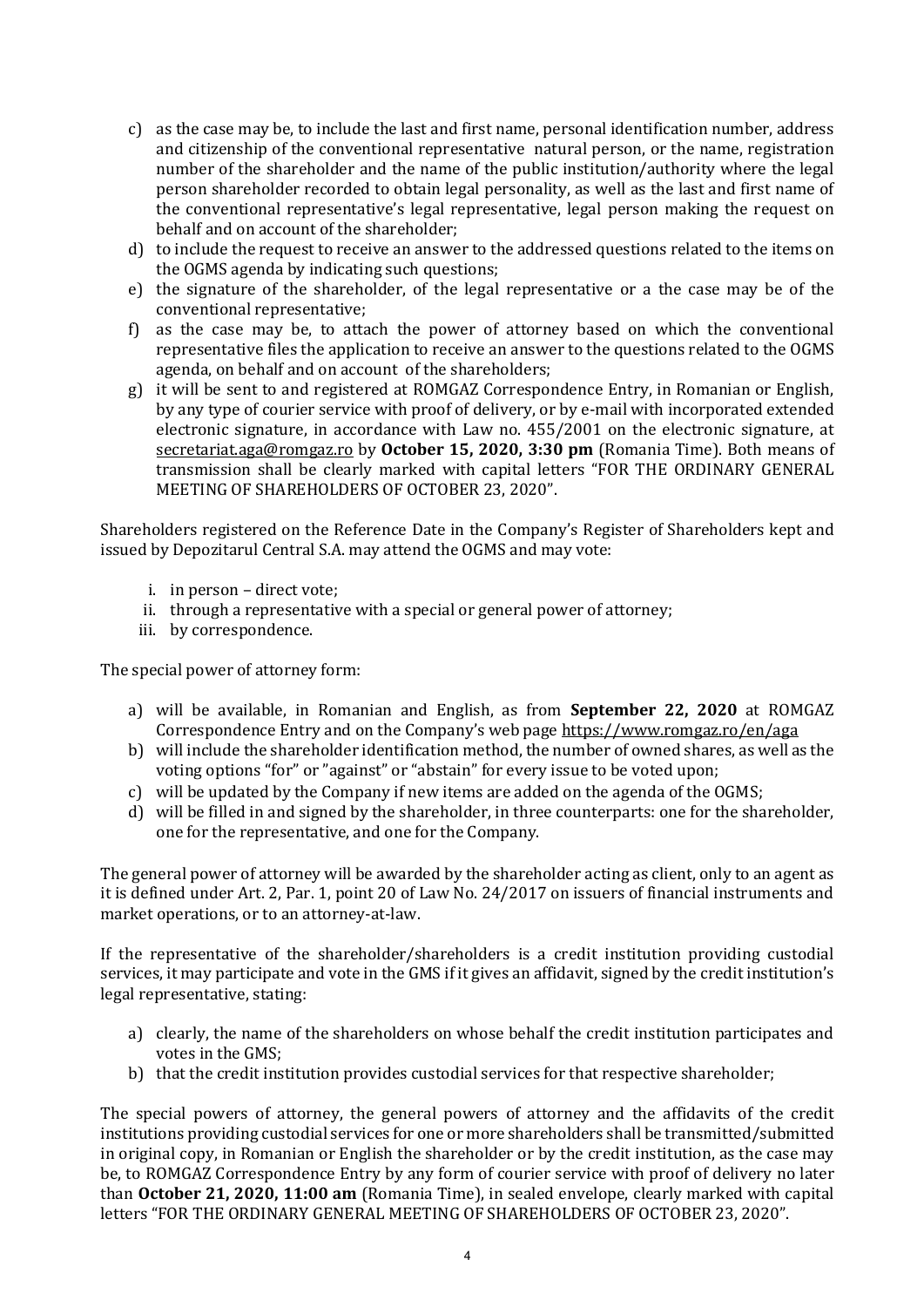- c) as the case may be, to include the last and first name, personal identification number, address and citizenship of the conventional representative natural person, or the name, registration number of the shareholder and the name of the public institution/authority where the legal person shareholder recorded to obtain legal personality, as well as the last and first name of the conventional representative's legal representative, legal person making the request on behalf and on account of the shareholder;
- d) to include the request to receive an answer to the addressed questions related to the items on the OGMS agenda by indicating such questions;
- e) the signature of the shareholder, of the legal representative or a the case may be of the conventional representative;
- f) as the case may be, to attach the power of attorney based on which the conventional representative files the application to receive an answer to the questions related to the OGMS agenda, on behalf and on account of the shareholders;
- g) it will be sent to and registered at ROMGAZ Correspondence Entry, in Romanian or English, by any type of courier service with proof of delivery, or by e-mail with incorporated extended electronic signature, in accordance with Law no. 455/2001 on the electronic signature, at [secretariat.aga@romgaz.ro](mailto:secretariat.aga%40romgaz.ro) by **October 15, 2020, 3:30 pm** (Romania Time). Both means of transmission shall be clearly marked with capital letters "FOR THE ORDINARY GENERAL MEETING OF SHAREHOLDERS OF OCTOBER 23, 2020".

Shareholders registered on the Reference Date in the Company's Register of Shareholders kept and issued by Depozitarul Central S.A. may attend the OGMS and may vote:

- i. in person direct vote;
- ii. through a representative with a special or general power of attorney;
- iii. by correspondence.

The special power of attorney form:

- a) will be available, in Romanian and English, as from **September 22, 2020** at ROMGAZ Correspondence Entry and on the Company's web page <https://www.romgaz.ro/en/aga>
- b) will include the shareholder identification method, the number of owned shares, as well as the voting options "for" or "against" or "abstain" for every issue to be voted upon;
- c) will be updated by the Company if new items are added on the agenda of the OGMS;
- d) will be filled in and signed by the shareholder, in three counterparts: one for the shareholder, one for the representative, and one for the Company.

The general power of attorney will be awarded by the shareholder acting as client, only to an agent as it is defined under Art. 2, Par. 1, point 20 of Law No. 24/2017 on issuers of financial instruments and market operations, or to an attorney-at-law.

If the representative of the shareholder/shareholders is a credit institution providing custodial services, it may participate and vote in the GMS if it gives an affidavit, signed by the credit institution's legal representative, stating:

- a) clearly, the name of the shareholders on whose behalf the credit institution participates and votes in the GMS;
- b) that the credit institution provides custodial services for that respective shareholder;

The special powers of attorney, the general powers of attorney and the affidavits of the credit institutions providing custodial services for one or more shareholders shall be transmitted/submitted in original copy, in Romanian or English the shareholder or by the credit institution, as the case may be, to ROMGAZ Correspondence Entry by any form of courier service with proof of delivery no later than **October 21, 2020, 11:00 am** (Romania Time), in sealed envelope, clearly marked with capital letters "FOR THE ORDINARY GENERAL MEETING OF SHAREHOLDERS OF OCTOBER 23, 2020".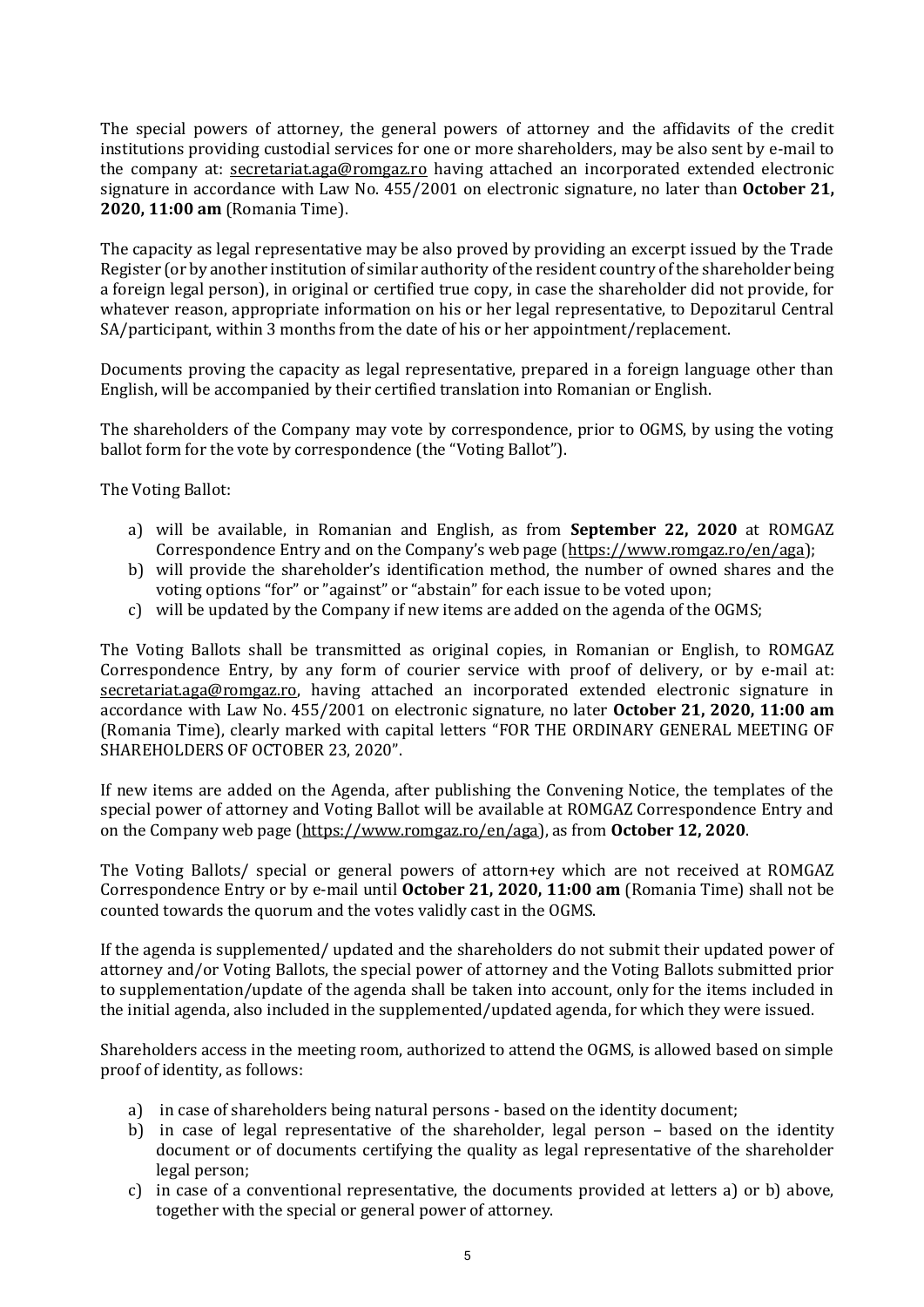The special powers of attorney, the general powers of attorney and the affidavits of the credit institutions providing custodial services for one or more shareholders, may be also sent by e-mail to the company at: [secretariat.aga@romgaz.ro](mailto:secretariat.aga%40romgaz.ro) having attached an incorporated extended electronic signature in accordance with Law No. 455/2001 on electronic signature, no later than **October 21, 2020, 11:00 am** (Romania Time).

The capacity as legal representative may be also proved by providing an excerpt issued by the Trade Register (or by another institution of similar authority of the resident country of the shareholder being a foreign legal person), in original or certified true copy, in case the shareholder did not provide, for whatever reason, appropriate information on his or her legal representative, to Depozitarul Central SA/participant, within 3 months from the date of his or her appointment/replacement.

Documents proving the capacity as legal representative, prepared in a foreign language other than English, will be accompanied by their certified translation into Romanian or English.

The shareholders of the Company may vote by correspondence, prior to OGMS, by using the voting ballot form for the vote by correspondence (the "Voting Ballot").

The Voting Ballot:

- a) will be available, in Romanian and English, as from **September 22, 2020** at ROMGAZ Correspondence Entry and on the Company's web page ([https://www.romgaz.ro/en/aga\)](https://www.romgaz.ro/en/aga);
- b) will provide the shareholder's identification method, the number of owned shares and the voting options "for" or "against" or "abstain" for each issue to be voted upon;
- c) will be updated by the Company if new items are added on the agenda of the OGMS;

The Voting Ballots shall be transmitted as original copies, in Romanian or English, to ROMGAZ Correspondence Entry, by any form of courier service with proof of delivery, or by e-mail at: [secretariat.aga@romgaz.ro,](mailto:secretariat.aga%40romgaz.ro) having attached an incorporated extended electronic signature in accordance with Law No. 455/2001 on electronic signature, no later **October 21, 2020, 11:00 am**  (Romania Time), clearly marked with capital letters "FOR THE ORDINARY GENERAL MEETING OF SHAREHOLDERS OF OCTOBER 23, 2020".

If new items are added on the Agenda, after publishing the Convening Notice, the templates of the special power of attorney and Voting Ballot will be available at ROMGAZ Correspondence Entry and on the Company web page [\(https://www.romgaz.ro/en/aga\)](https://www.romgaz.ro/en/aga), as from **October 12, 2020**.

The Voting Ballots/ special or general powers of attorn+ey which are not received at ROMGAZ Correspondence Entry or by e-mail until **October 21, 2020, 11:00 am** (Romania Time) shall not be counted towards the quorum and the votes validly cast in the OGMS.

If the agenda is supplemented/ updated and the shareholders do not submit their updated power of attorney and/or Voting Ballots, the special power of attorney and the Voting Ballots submitted prior to supplementation/update of the agenda shall be taken into account, only for the items included in the initial agenda, also included in the supplemented/updated agenda, for which they were issued.

Shareholders access in the meeting room, authorized to attend the OGMS, is allowed based on simple proof of identity, as follows:

- a) in case of shareholders being natural persons based on the identity document;
- b) in case of legal representative of the shareholder, legal person based on the identity document or of documents certifying the quality as legal representative of the shareholder legal person;
- c) in case of a conventional representative, the documents provided at letters a) or b) above, together with the special or general power of attorney.